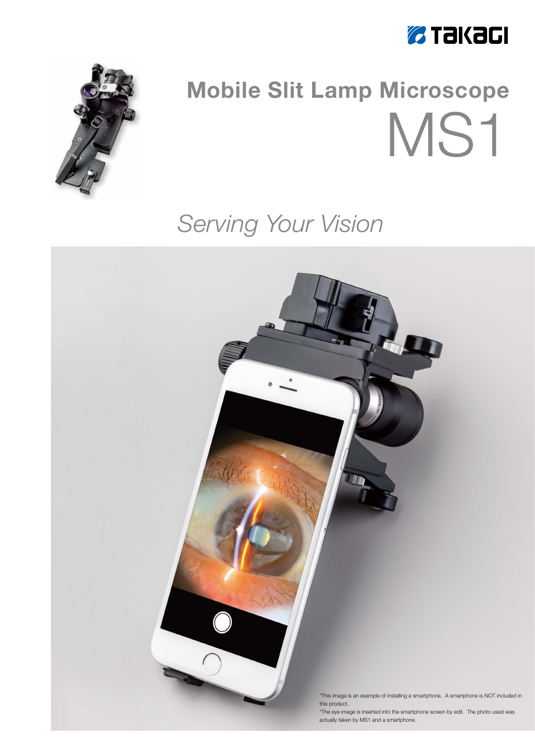



# **Mobile Slit Lamp Microscope** MS1

# Serving Your Vision